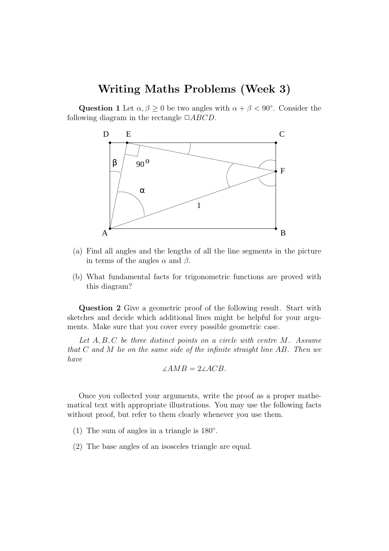# Writing Maths Problems (Week 3)

Question 1 Let  $\alpha, \beta \geq 0$  be two angles with  $\alpha + \beta < 90^{\circ}$ . Consider the following diagram in the rectangle  $\Box ABCD$ .



- (a) Find all angles and the lengths of all the line segments in the picture in terms of the angles  $\alpha$  and  $\beta$ .
- (b) What fundamental facts for trigonometric functions are proved with this diagram?

Question 2 Give a geometric proof of the following result. Start with sketches and decide which additional lines might be helpful for your arguments. Make sure that you cover every possible geometric case.

Let  $A, B, C$  be three distinct points on a circle with centre  $M$ . Assume that C and M lie on the same side of the infinite straight line AB. Then we have

$$
\angle AMB = 2\angle ACB.
$$

Once you collected your arguments, write the proof as a proper mathematical text with appropriate illustrations. You may use the following facts without proof, but refer to them clearly whenever you use them.

- (1) The sum of angles in a triangle is  $180^\circ$ .
- (2) The base angles of an isosceles triangle are equal.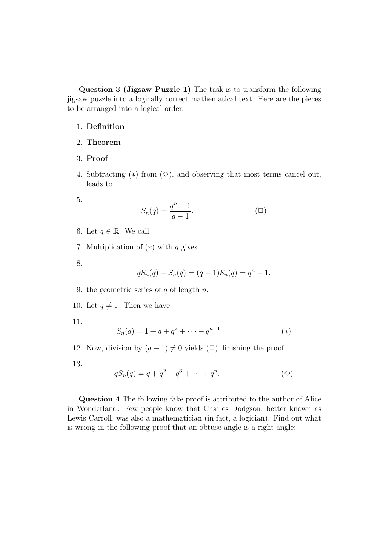Question 3 (Jigsaw Puzzle 1) The task is to transform the following jigsaw puzzle into a logically correct mathematical text. Here are the pieces to be arranged into a logical order:

## 1. Definition

## 2. Theorem

### 3. Proof

4. Subtracting  $(*)$  from  $(\diamond)$ , and observing that most terms cancel out, leads to

5.

$$
S_n(q) = \frac{q^n - 1}{q - 1}.\tag{}
$$

- 6. Let  $q \in \mathbb{R}$ . We call
- 7. Multiplication of  $(*)$  with q gives
- 8.

$$
qS_n(q) - S_n(q) = (q-1)S_n(q) = q^n - 1.
$$

- 9. the geometric series of  $q$  of length  $n$ .
- 10. Let  $q \neq 1$ . Then we have

11.

$$
S_n(q) = 1 + q + q^2 + \dots + q^{n-1}
$$
 (\*)

- 12. Now, division by  $(q 1) \neq 0$  yields  $(\Box)$ , finishing the proof.
- 13.

$$
qS_n(q) = q + q^2 + q^3 + \dots + q^n.
$$
 (4)

Question 4 The following fake proof is attributed to the author of Alice in Wonderland. Few people know that Charles Dodgson, better known as Lewis Carroll, was also a mathematician (in fact, a logician). Find out what is wrong in the following proof that an obtuse angle is a right angle: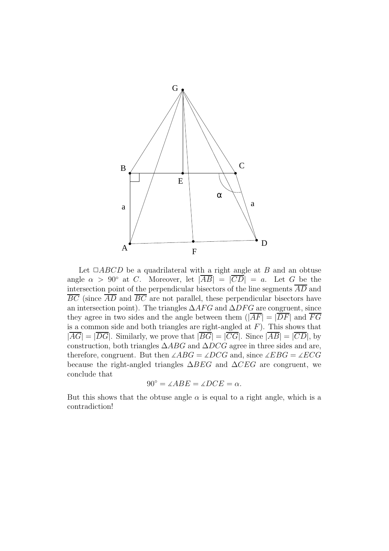

Let  $\Box ABCD$  be a quadrilateral with a right angle at B and an obtuse angle  $\alpha > 90^{\circ}$  at C. Moreover, let  $|\overline{AB}| = |\overline{CD}| = a$ . Let G be the intersection point of the perpendicular bisectors of the line segments  $\overline{AD}$  and  $\overline{BC}$  (since  $\overline{AD}$  and  $\overline{BC}$  are not parallel, these perpendicular bisectors have an intersection point). The triangles  $\Delta AFG$  and  $\Delta DFG$  are congruent, since they agree in two sides and the angle between them  $(|\overline{AF}| = |\overline{DF}|$  and  $\overline{FG}$ is a common side and both triangles are right-angled at  $F$ ). This shows that  $|\overline{AG}| = |\overline{DG}|$ . Similarly, we prove that  $|\overline{BG}| = |\overline{CG}|$ . Since  $|\overline{AB}| = |\overline{CD}|$ , by construction, both triangles  $\triangle ABC$  and  $\triangle DCG$  agree in three sides and are, therefore, congruent. But then  $\angle ABC = \angle DCG$  and, since  $\angle EBG = \angle ECG$ because the right-angled triangles  $\Delta BEG$  and  $\Delta CEG$  are congruent, we conclude that

$$
90^{\circ} = \angle ABE = \angle DCE = \alpha.
$$

But this shows that the obtuse angle  $\alpha$  is equal to a right angle, which is a contradiction!